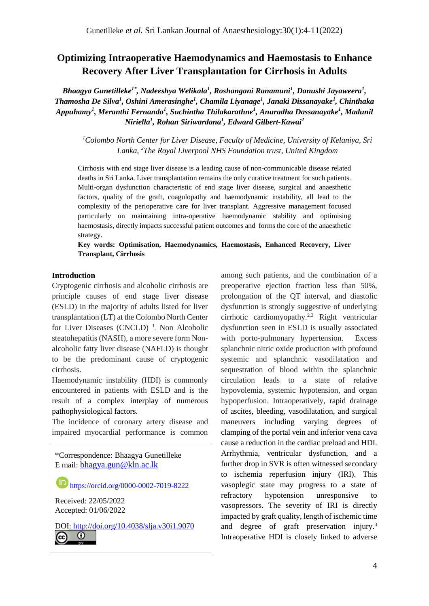# **Optimizing Intraoperative Haemodynamics and Haemostasis to Enhance Recovery After Liver Transplantation for Cirrhosis in Adults**

*Bhaagya Gunetilleke1\* , Nadeeshya Welikala<sup>1</sup> , Roshangani Ranamuni<sup>1</sup> , Danushi Jayaweera<sup>1</sup> , Thamosha De Silva<sup>1</sup> , Oshini Amerasinghe<sup>1</sup> , Chamila Liyanage<sup>1</sup> , Janaki Dissanayake<sup>1</sup> , Chinthaka Appuhamy<sup>1</sup> , Meranthi Fernando<sup>1</sup> , Suchintha Thilakarathne<sup>1</sup> , Anuradha Dassanayake<sup>1</sup> , Madunil Niriella<sup>1</sup> , Rohan Siriwardana<sup>1</sup> , Edward Gilbert-Kawai<sup>2</sup>*

*<sup>1</sup>Colombo North Center for Liver Disease, Faculty of Medicine, University of Kelaniya, Sri Lanka, <sup>2</sup>The Royal Liverpool NHS Foundation trust, United Kingdom*

Cirrhosis with end stage liver disease is a leading cause of non-communicable disease related deaths in Sri Lanka. Liver transplantation remains the only curative treatment for such patients. Multi-organ dysfunction characteristic of end stage liver disease, surgical and anaesthetic factors, quality of the graft, coagulopathy and haemodynamic instability, all lead to the complexity of the perioperative care for liver transplant. Aggressive management focused particularly on maintaining intra-operative haemodynamic stability and optimising haemostasis, directly impacts successful patient outcomes and forms the core of the anaesthetic strategy.

**Key words: Optimisation, Haemodynamics, Haemostasis, Enhanced Recovery, Liver Transplant, Cirrhosis**

### **Introduction**

Cryptogenic cirrhosis and alcoholic cirrhosis are principle causes of end stage liver disease (ESLD) in the majority of adults listed for liver transplantation (LT) at the Colombo North Center for Liver Diseases (CNCLD)<sup>1</sup>. Non Alcoholic steatohepatitis (NASH), a more severe form Nonalcoholic fatty liver disease (NAFLD) is thought to be the predominant cause of cryptogenic cirrhosis.

Haemodynamic instability (HDI) is commonly encountered in patients with ESLD and is the result of a complex interplay of numerous pathophysiological factors.

The incidence of coronary artery disease and impaired myocardial performance is common



among such patients, and the combination of a preoperative ejection fraction less than 50%, prolongation of the QT interval, and diastolic dysfunction is strongly suggestive of underlying cirrhotic cardiomyopathy.2,3 Right ventricular dysfunction seen in ESLD is usually associated with porto-pulmonary hypertension. Excess splanchnic nitric oxide production with profound systemic and splanchnic vasodilatation and sequestration of blood within the splanchnic circulation leads to a state of relative hypovolemia, systemic hypotension, and organ hypoperfusion. Intraoperatively, rapid drainage of ascites, bleeding, vasodilatation, and surgical maneuvers including varying degrees of clamping of the portal vein and inferior vena cava cause a reduction in the cardiac preload and HDI. Arrhythmia, ventricular dysfunction, and a further drop in SVR is often witnessed secondary to ischemia reperfusion injury (IRI). This vasoplegic state may progress to a state of refractory hypotension unresponsive to vasopressors. The severity of IRI is directly impacted by graft quality, length of ischemic time and degree of graft preservation injury. 3 Intraoperative HDI is closely linked to adverse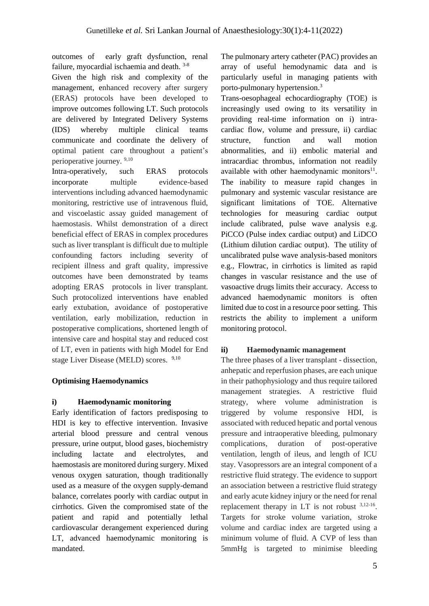outcomes of early graft dysfunction, renal failure, myocardial ischaemia and death. 3-8

Given the high risk and complexity of the management, enhanced recovery after surgery (ERAS) protocols have been developed to improve outcomes following LT. Such protocols are delivered by Integrated Delivery Systems (IDS) whereby multiple clinical teams communicate and coordinate the delivery of optimal patient care throughout a patient's perioperative journey. 9,10

Intra-operatively, such ERAS protocols incorporate multiple evidence-based interventions including advanced haemodynamic monitoring, restrictive use of intravenous fluid, and viscoelastic assay guided management of haemostasis. Whilst demonstration of a direct beneficial effect of ERAS in complex procedures such as liver transplant is difficult due to multiple confounding factors including severity of recipient illness and graft quality, impressive outcomes have been demonstrated by teams adopting ERAS protocols in liver transplant. Such protocolized interventions have enabled early extubation, avoidance of postoperative ventilation, early mobilization, reduction in postoperative complications, shortened length of intensive care and hospital stay and reduced cost of LT, even in patients with high Model for End stage Liver Disease (MELD) scores. <sup>9,10</sup>

## **Optimising Haemodynamics**

## **i) Haemodynamic monitoring**

Early identification of factors predisposing to HDI is key to effective intervention. Invasive arterial blood pressure and central venous pressure, urine output, blood gases, biochemistry including lactate and electrolytes, and haemostasis are monitored during surgery. Mixed venous oxygen saturation, though traditionally used as a measure of the oxygen supply-demand balance, correlates poorly with cardiac output in cirrhotics. Given the compromised state of the patient and rapid and potentially lethal cardiovascular derangement experienced during LT, advanced haemodynamic monitoring is mandated.

The pulmonary artery catheter (PAC) provides an array of useful hemodynamic data and is particularly useful in managing patients with porto-pulmonary hypertension. 3

Trans-oesophageal echocardiography (TOE) is increasingly used owing to its versatility in providing real-time information on i) intracardiac flow, volume and pressure, ii) cardiac structure, function and wall motion abnormalities, and ii) embolic material and intracardiac thrombus, information not readily available with other haemodynamic monitors<sup>11</sup>. The inability to measure rapid changes in pulmonary and systemic vascular resistance are significant limitations of TOE. Alternative technologies for measuring cardiac output include calibrated, pulse wave analysis e.g. PiCCO (Pulse index cardiac output) and LiDCO (Lithium dilution cardiac output). The utility of uncalibrated pulse wave analysis-based monitors e.g., Flowtrac, in cirrhotics is limited as rapid changes in vascular resistance and the use of vasoactive drugs limits their accuracy. Access to advanced haemodynamic monitors is often limited due to cost in a resource poor setting. This restricts the ability to implement a uniform monitoring protocol.

## **ii) Haemodynamic management**

The three phases of a liver transplant - dissection, anhepatic and reperfusion phases, are each unique in their pathophysiology and thus require tailored management strategies. A restrictive fluid strategy, where volume administration is triggered by volume responsive HDI, is associated with reduced hepatic and portal venous pressure and intraoperative bleeding, pulmonary complications, duration of post-operative ventilation, length of ileus, and length of ICU stay. Vasopressors are an integral component of a restrictive fluid strategy. The evidence to support an association between a restrictive fluid strategy and early acute kidney injury or the need for renal replacement therapy in LT is not robust  $3,12-16$ . Targets for stroke volume variation, stroke volume and cardiac index are targeted using a minimum volume of fluid. A CVP of less than 5mmHg is targeted to minimise bleeding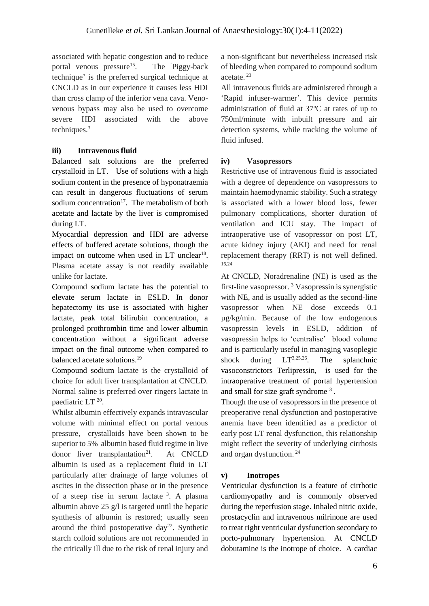associated with hepatic congestion and to reduce portal venous pressure<sup>15</sup>. . The 'Piggy-back technique' is the preferred surgical technique at CNCLD as in our experience it causes less HDI than cross clamp of the inferior vena cava. Venovenous bypass may also be used to overcome severe HDI associated with the above techniques.<sup>3</sup>

## **iii) Intravenous fluid**

Balanced salt solutions are the preferred crystalloid in LT. Use of solutions with a high sodium content in the presence of hyponatraemia can result in dangerous fluctuations of serum sodium concentration<sup>17</sup>. The metabolism of both acetate and lactate by the liver is compromised during LT.

Myocardial depression and HDI are adverse effects of buffered acetate solutions, though the impact on outcome when used in  $LT$  unclear<sup>18</sup>. Plasma acetate assay is not readily available unlike for lactate.

Compound sodium lactate has the potential to elevate serum lactate in ESLD. In donor hepatectomy its use is associated with higher lactate, peak total bilirubin concentration, a prolonged prothrombin time and lower albumin concentration without a significant adverse impact on the final outcome when compared to balanced acetate solutions. 19

Compound sodium lactate is the crystalloid of choice for adult liver transplantation at CNCLD. Normal saline is preferred over ringers lactate in paediatric LT<sup>20</sup>.

Whilst albumin effectively expands intravascular volume with minimal effect on portal venous pressure, crystalloids have been shown to be superior to 5% albumin based fluid regime in live donor liver transplantation<sup>21</sup>. . At CNCLD albumin is used as a replacement fluid in LT particularly after drainage of large volumes of ascites in the dissection phase or in the presence of a steep rise in serum lactate <sup>3</sup>. A plasma albumin above 25 g/l is targeted until the hepatic synthesis of albumin is restored; usually seen around the third postoperative day<sup>22</sup>. Synthetic starch colloid solutions are not recommended in the critically ill due to the risk of renal injury and a non-significant but nevertheless increased risk of bleeding when compared to compound sodium acetate. 23

All intravenous fluids are administered through a 'Rapid infuser-warmer'. This device permits administration of fluid at  $37^{\circ}$ C at rates of up to 750ml/minute with inbuilt pressure and air detection systems, while tracking the volume of fluid infused.

## **iv) Vasopressors**

Restrictive use of intravenous fluid is associated with a degree of dependence on vasopressors to maintain haemodynamic stability. Such a strategy is associated with a lower blood loss, fewer pulmonary complications, shorter duration of ventilation and ICU stay. The impact of intraoperative use of vasopressor on post LT, acute kidney injury (AKI) and need for renal replacement therapy (RRT) is not well defined. 16,24

At CNCLD, Noradrenaline (NE) is used as the first-line vasopressor.<sup>3</sup> Vasopressin is synergistic with NE, and is usually added as the second-line vasopressor when NE dose exceeds 0.1 µg/kg/min. Because of the low endogenous vasopressin levels in ESLD, addition of vasopressin helps to 'centralise' blood volume and is particularly useful in managing vasoplegic shock during  $LT^{3,25,26}$ . The splanchnic vasoconstrictors Terlipressin, is used for the intraoperative treatment of portal hypertension and small for size graft syndrome <sup>3</sup> *.* 

Though the use of vasopressors in the presence of preoperative renal dysfunction and postoperative anemia have been identified as a predictor of early post LT renal dysfunction, this relationship might reflect the severity of underlying cirrhosis and organ dysfunction. 24

## **v) Inotropes**

Ventricular dysfunction is a feature of cirrhotic cardiomyopathy and is commonly observed during the reperfusion stage. Inhaled nitric oxide, prostacyclin and intravenous milrinone are used to treat right ventricular dysfunction secondary to porto-pulmonary hypertension. At CNCLD dobutamine is the inotrope of choice. A cardiac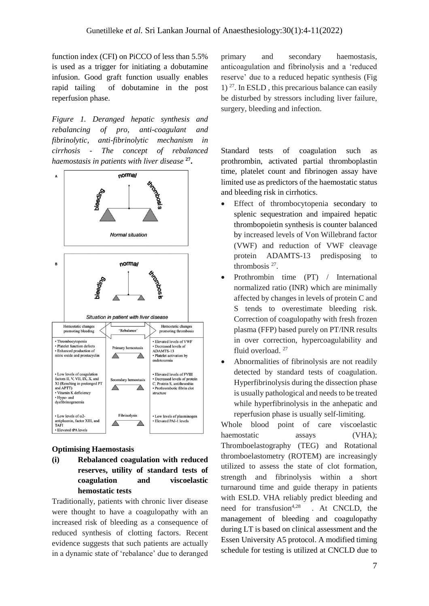function index (CFI) on PiCCO of less than 5.5% is used as a trigger for initiating a dobutamine infusion. Good graft function usually enables rapid tailing of dobutamine in the post reperfusion phase.

*Figure 1. Deranged hepatic synthesis and rebalancing of pro, anti-coagulant and fibrinolytic, anti-fibrinolytic mechanism in cirrhosis - The concept of rebalanced haemostasis in patients with liver disease* **<sup>27</sup> .**



#### **Optimising Haemostasis**

**(i) Rebalanced coagulation with reduced reserves, utility of standard tests of coagulation and viscoelastic hemostatic tests**

Traditionally, patients with chronic liver disease were thought to have a coagulopathy with an increased risk of bleeding as a consequence of reduced synthesis of clotting factors. Recent evidence suggests that such patients are actually in a dynamic state of 'rebalance' due to deranged

primary and secondary haemostasis, anticoagulation and fibrinolysis and a 'reduced reserve' due to a reduced hepatic synthesis (Fig  $1)$  <sup>27</sup>. In ESLD, this precarious balance can easily be disturbed by stressors including liver failure, surgery, bleeding and infection.

Standard tests of coagulation such as prothrombin, activated partial thromboplastin time, platelet count and fibrinogen assay have limited use as predictors of the haemostatic status and bleeding risk in cirrhotics.

- Effect of thrombocytopenia secondary to splenic sequestration and impaired hepatic thrombopoietin synthesis is counter balanced by increased levels of Von Willebrand factor (VWF) and reduction of VWF cleavage protein ADAMTS-13 predisposing to thrombosis  $27$ .
- Prothrombin time (PT) / International normalized ratio (INR) which are minimally affected by changes in levels of protein C and S tends to overestimate bleeding risk. Correction of coagulopathy with fresh frozen plasma (FFP) based purely on PT/INR results in over correction, hypercoagulability and fluid overload.<sup>27</sup>
- Abnormalities of fibrinolysis are not readily detected by standard tests of coagulation. Hyperfibrinolysis during the dissection phase is usually pathological and needs to be treated while hyperfibrinolysis in the anhepatic and reperfusion phase is usually self-limiting.

Whole blood point of care viscoelastic haemostatic assays (VHA); Thromboelastography (TEG) and Rotational thromboelastometry (ROTEM) are increasingly utilized to assess the state of clot formation, strength and fibrinolysis within a short turnaround time and guide therapy in patients with ESLD. VHA reliably predict bleeding and need for transfusion<sup>4,28</sup> . At CNCLD, the management of bleeding and coagulopathy during LT is based on clinical assessment and the Essen University A5 protocol. A modified timing schedule for testing is utilized at CNCLD due to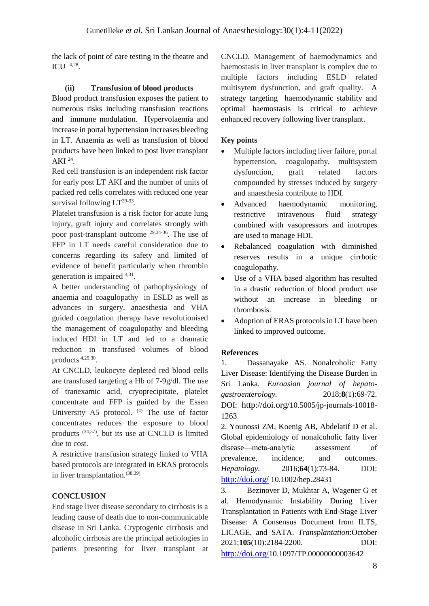the lack of point of care testing in the theatre and ICU  $4.28$ .

## **(ii) Transfusion of blood products**

Blood product transfusion exposes the patient to numerous risks including transfusion reactions and immune modulation. Hypervolaemia and increase in portal hypertension increases bleeding in LT. Anaemia as well as transfusion of blood products have been linked to post liver transplant AKI  $^{24}$ .

Red cell transfusion is an independent risk factor for early post LT AKI and the number of units of packed red cells correlates with reduced one year survival following  $LT^{29-33}$ .

Platelet transfusion is a risk factor for acute lung injury, graft injury and correlates strongly with poor post-transplant outcome <sup>29,34-36</sup>. The use of FFP in LT needs careful consideration due to concerns regarding its safety and limited of evidence of benefit particularly when thrombin generation is impaired <sup>4,31</sup>.

A better understanding of pathophysiology of anaemia and coagulopathy in ESLD as well as advances in surgery, anaesthesia and VHA guided coagulation therapy have revolutionised the management of coagulopathy and bleeding induced HDI in LT and led to a dramatic reduction in transfused volumes of blood products 4,29,30 .

At CNCLD, leukocyte depleted red blood cells are transfused targeting a Hb of 7-9g/dl. The use of tranexamic acid, cryoprecipitate, platelet concentrate and FFP is guided by the Essen University A5 protocol. <sup>(4)</sup> The use of factor concentrates reduces the exposure to blood products  $(34,37)$ , but its use at CNCLD is limited due to cost.

A restrictive transfusion strategy linked to VHA based protocols are integrated in ERAS protocols in liver transplantation.(38,39)

## **CONCLUSION**

End stage liver disease secondary to cirrhosis is a leading cause of death due to non-communicable disease in Sri Lanka. Cryptogenic cirrhosis and alcoholic cirrhosis are the principal aetiologies in patients presenting for liver transplant at CNCLD. Management of haemodynamics and haemostasis in liver transplant is complex due to multiple factors including ESLD related multisytem dysfunction, and graft quality. A strategy targeting haemodynamic stability and optimal haemostasis is critical to achieve enhanced recovery following liver transplant.

## **Key points**

- Multiple factors including liver failure, portal hypertension, coagulopathy, multisystem dysfunction, graft related factors compounded by stresses induced by surgery and anaesthesia contribute to HDI.
- Advanced haemodynamic monitoring, restrictive intravenous fluid strategy combined with vasopressors and inotropes are used to manage HDI.
- Rebalanced coagulation with diminished reserves results in a unique cirrhotic coagulopathy.
- Use of a VHA based algorithm has resulted in a drastic reduction of blood product use without an increase in bleeding or thrombosis.
- Adoption of ERAS protocols in LT have been linked to improved outcome.

## **References**

1. Dassanayake AS. Nonalcoholic Fatty Liver Disease: Identifying the Disease Burden in Sri Lanka. *Euroasian journal of hepatogastroenterology.* 2018;**8**(1):69-72. DOI: http://doi.org/[10.5005/jp-journals-10018-](https://doi.org/10.5005/jp-journals-10018-1263) [1263](https://doi.org/10.5005/jp-journals-10018-1263)

2. Younossi ZM, Koenig AB, Abdelatif D et al. Global epidemiology of nonalcoholic fatty liver disease—meta‐analytic assessment of prevalence, incidence, and outcomes. *Hepatology.* 2016;**64**(1):73-84. DOI: http://doi.org/ [10.1002/hep.28431](https://doi.org/10.1002/hep.28431)

3. Bezinover D, Mukhtar A, Wagener G et al. Hemodynamic Instability During Liver Transplantation in Patients with End-Stage Liver Disease: A Consensus Document from ILTS, LICAGE, and SATA. *Transplantation*:October 2021;**105**(10):2184-2200. DOI: http://doi.org/10.1097/TP.00000000003642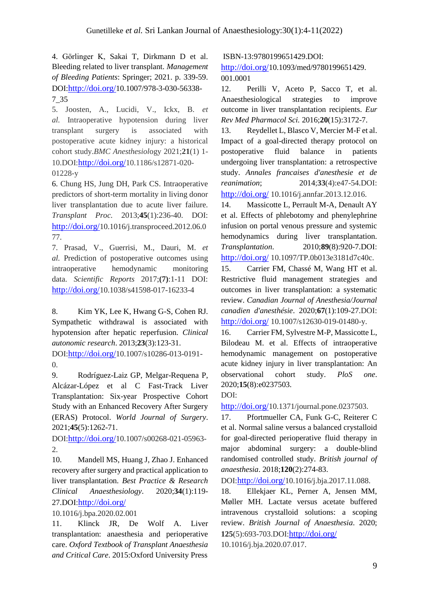4. Görlinger K, Sakai T, Dirkmann D et al. Bleeding related to liver transplant. *Management of Bleeding Patients*: Springer; 2021. p. 339-59. DOI:http://doi.org/10.1007/978-3-030-56338- 7\_35

5. Joosten, A., Lucidi, V., Ickx, B. *et al.* Intraoperative hypotension during liver transplant surgery is associated with postoperative acute kidney injury: a historical cohort study.*BMC Anesthesiol*ogy 2021;**21**(1) 1- 10.DOI:http://doi.org/10.1186/s12871-020- 01228-y

6. Chung HS, Jung DH, Park CS. Intraoperative predictors of short-term mortality in living donor liver transplantation due to acute liver failure. *Transplant Proc.* 2013;**45**(1):236-40. DOI: http://doi.org/10.1016/j.transproceed.2012.06.0 77.

7. Prasad, V., Guerrisi, M., Dauri, M. *et al.* Prediction of postoperative outcomes using intraoperative hemodynamic monitoring data. *Scientific Reports* 2017;**(7)**:1-11 DOI: http://doi.org/10.1038/s41598-017-16233-4

8. Kim YK, Lee K, Hwang G-S, Cohen RJ. Sympathetic withdrawal is associated with hypotension after hepatic reperfusion. *Clinical autonomic research*. 2013;**23**(3):123-31.

DOI:http://doi.org/10.1007/s10286-013-0191- 0.

9. Rodríguez-Laiz GP, Melgar-Requena P, Alcázar-López et al C Fast-Track Liver Transplantation: Six-year Prospective Cohort Study with an Enhanced Recovery After Surgery (ERAS) Protocol. *World Journal of Surgery*. 2021;**45**(5):1262-71.

DOI:http://doi.org/10.1007/s00268-021-05963- 2.

10. Mandell MS, Huang J, Zhao J. Enhanced recovery after surgery and practical application to liver transplantation. *Best Practice & Research Clinical Anaesthesiology*. 2020;**34**(1):119- 27.DOI:http://doi.org/

10.1016/j.bpa.2020.02.001

11. Klinck JR, De Wolf A. Liver transplantation: anaesthesia and perioperative care. *Oxford Textbook of Transplant Anaesthesia and Critical Care*. 2015:Oxford University Press

ISBN-13:9780199651429.DOI:

http://doi.org/10.1093/med/9780199651429. 001.0001

12. Perilli V, Aceto P, Sacco T, et al. Anaesthesiological strategies to improve outcome in liver transplantation recipients. *Eur Rev Med Pharmacol Sci.* 2016;**20**(15):3172-7.

13. Reydellet L, Blasco V, Mercier M-F et al. Impact of a goal-directed therapy protocol on postoperative fluid balance in patients undergoing liver transplantation: a retrospective study. *Annales francaises d'anesthesie et de reanimation*; 2014;**33**(4):e47-54.DOI:

http://doi.org/ 10.1016/j.annfar.2013.12.016.

14. Massicotte L, Perrault M-A, Denault AY et al. Effects of phlebotomy and phenylephrine infusion on portal venous pressure and systemic hemodynamics during liver transplantation. *Transplantation*. 2010;**89**(8):920-7.DOI: http://doi.org/ 10.1097/TP.0b013e3181d7c40c.

15. Carrier FM, Chassé M, Wang HT et al. Restrictive fluid management strategies and outcomes in liver transplantation: a systematic review. *Canadian Journal of Anesthesia/Journal canadien d'anesthésie*. 2020;**67**(1):109-27.DOI: http://doi.org/ 10.1007/s12630-019-01480-y.

16. Carrier FM, Sylvestre M-P, Massicotte L, Bilodeau M. et al. Effects of intraoperative hemodynamic management on postoperative acute kidney injury in liver transplantation: An observational cohort study. *PloS one*. 2020;**15**(8):e0237503.

DOI:

http://doi.org/10.1371/journal.pone.0237503.

17. Pfortmueller CA, Funk G-C, Reiterer C et al. Normal saline versus a balanced crystalloid for goal-directed perioperative fluid therapy in major abdominal surgery: a double-blind randomised controlled study. *British journal of anaesthesia*. 2018;**120**(2):274-83.

DOI:http://doi.org/10.1016/j.bja.2017.11.088.

18. Ellekjaer KL, Perner A, Jensen MM, Møller MH. Lactate versus acetate buffered intravenous crystalloid solutions: a scoping review. *British Journal of Anaesthesia*. 2020; **125**(5):693-703.DOI:http://doi.org/ 10.1016/j.bja.2020.07.017.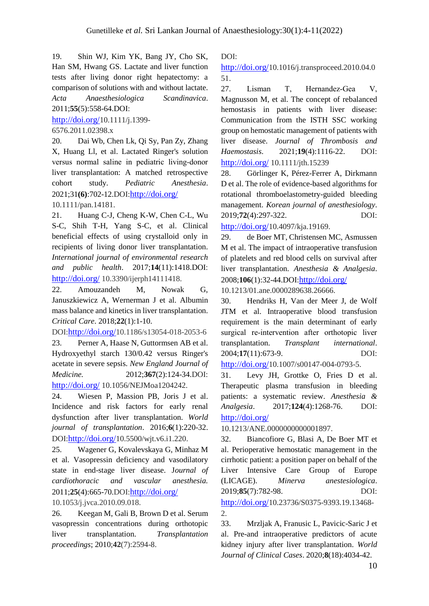19. Shin WJ, Kim YK, Bang JY, Cho SK, Han SM, Hwang GS. Lactate and liver function tests after living donor right hepatectomy: a comparison of solutions with and without lactate. *Acta Anaesthesiologica Scandinavica*. 2011;**55**(5):558-64.DOI:

http://doi.org/10.1111/j.1399-

6576.2011.02398.x

20. Dai Wb, Chen Lk, Qi Sy, Pan Zy, Zhang X, Huang Ll, et al. Lactated Ringer's solution versus normal saline in pediatric living‐donor liver transplantation: A matched retrospective cohort study. *Pediatric Anesthesia*. 2021;31**(6)**:702-12.DOI:http://doi.org/ 10.1111/pan.14181.

21. Huang C-J, Cheng K-W, Chen C-L, Wu S-C, Shih T-H, Yang S-C, et al. Clinical beneficial effects of using crystalloid only in recipients of living donor liver transplantation. *International journal of environmental research and public health*. 2017;**14**(11):1418.DOI: http://doi.org/ 10.3390/ijerph14111418.

22. Amouzandeh M, Nowak G, Januszkiewicz A, Wernerman J et al. Albumin mass balance and kinetics in liver transplantation. *Critical Care*. 2018;**22**(1):1-10.

DOI:http://doi.org/10.1186/s13054-018-2053-6 23. Perner A, Haase N, Guttormsen AB et al. Hydroxyethyl starch 130/0.42 versus Ringer's acetate in severe sepsis. *New England Journal of Medicine.* 2012;**367**(2):124-34.DOI: http://doi.org/ 10.1056/NEJMoa1204242.

24. Wiesen P, Massion PB, Joris J et al. Incidence and risk factors for early renal dysfunction after liver transplantation. *World journal of transplantation*. 2016;**6**(1):220-32. DOI:http://doi.org/10.5500/wjt.v6.i1.220.

25. Wagener G, Kovalevskaya G, Minhaz M et al. Vasopressin deficiency and vasodilatory state in end-stage liver disease. J*ournal of cardiothoracic and vascular anesthesia.* 2011;**25**(4):665-70.DOI:http://doi.org/

## 10.1053/j.jvca.2010.09.018.

26. Keegan M, Gali B, Brown D et al. Serum vasopressin concentrations during orthotopic liver transplantation. *Transplantation proceedings*; 2010;**42**(7):2594-8.

DOI:

http://doi.org/10.1016/j.transproceed.2010.04.0 51.

27. Lisman T, Hernandez‐Gea V, Magnusson M, et al. The concept of rebalanced hemostasis in patients with liver disease: Communication from the ISTH SSC working group on hemostatic management of patients with liver disease. *Journal of Thrombosis and Haemostasis*. 2021;**19**(4):1116-22. DOI: http://doi.org/ 10.1111/jth.15239

28. Görlinger K, Pérez-Ferrer A, Dirkmann D et al. The role of evidence-based algorithms for rotational thromboelastometry-guided bleeding management. *Korean journal of anesthesiology*. 2019;**72**(4):297-322. DOI:

http://doi.org/10.4097/kja.19169.

29. de Boer MT, Christensen MC, Asmussen M et al. The impact of intraoperative transfusion of platelets and red blood cells on survival after liver transplantation. *Anesthesia & Analgesia*. 2008;**106**(1):32-44.DOI:http://doi.org/

10.1213/01.ane.0000289638.26666.

30. Hendriks H, Van der Meer J, de Wolf JTM et al. Intraoperative blood transfusion requirement is the main determinant of early surgical re‐intervention after orthotopic liver transplantation. *Transplant international*. 2004;**17**(11):673-9. DOI:

http://doi.org/10.1007/s00147-004-0793-5.

31. Levy JH, Grottke O, Fries D et al. Therapeutic plasma transfusion in bleeding patients: a systematic review. *Anesthesia & Analgesia*. 2017;**124**(4):1268-76. DOI: http://doi.org/

10.1213/ANE.0000000000001897.

32. Biancofiore G, Blasi A, De Boer MT et al. Perioperative hemostatic management in the cirrhotic patient: a position paper on behalf of the Liver Intensive Care Group of Europe (LICAGE). *Minerva anestesiologica*. 2019;**85**(7):782-98. DOI: http://doi.org/10.23736/S0375-9393.19.13468- 2.

33. Mrzljak A, Franusic L, Pavicic-Saric J et al. Pre-and intraoperative predictors of acute kidney injury after liver transplantation. *World Journal of Clinical Cases*. 2020;**8**(18):4034-42.